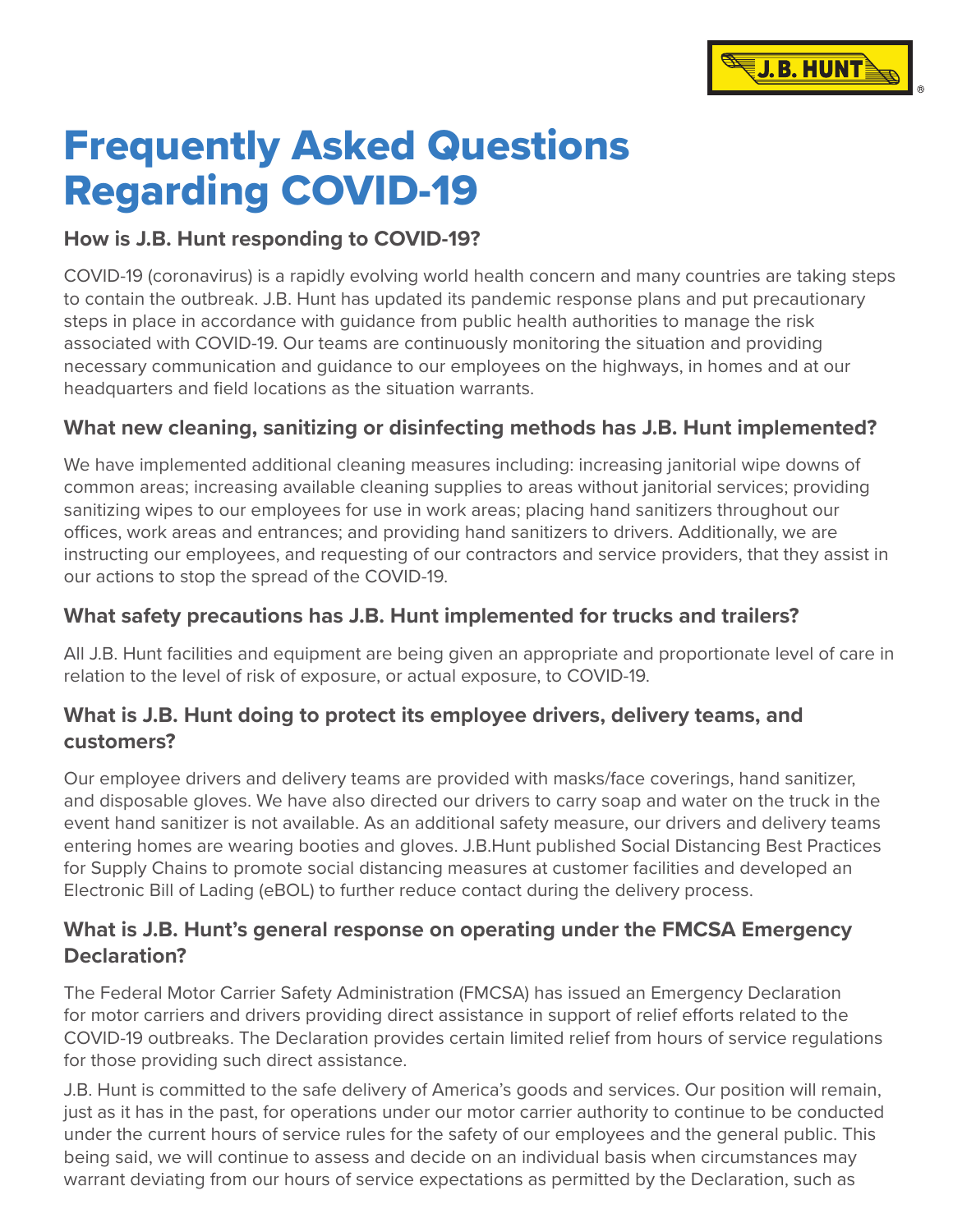

# Frequently Asked Questions Regarding COVID-19

#### **How is J.B. Hunt responding to COVID-19?**

COVID-19 (coronavirus) is a rapidly evolving world health concern and many countries are taking steps to contain the outbreak. J.B. Hunt has updated its pandemic response plans and put precautionary steps in place in accordance with guidance from public health authorities to manage the risk associated with COVID-19. Our teams are continuously monitoring the situation and providing necessary communication and guidance to our employees on the highways, in homes and at our headquarters and field locations as the situation warrants.

#### **What new cleaning, sanitizing or disinfecting methods has J.B. Hunt implemented?**

We have implemented additional cleaning measures including: increasing janitorial wipe downs of common areas; increasing available cleaning supplies to areas without janitorial services; providing sanitizing wipes to our employees for use in work areas; placing hand sanitizers throughout our offices, work areas and entrances; and providing hand sanitizers to drivers. Additionally, we are instructing our employees, and requesting of our contractors and service providers, that they assist in our actions to stop the spread of the COVID-19.

#### **What safety precautions has J.B. Hunt implemented for trucks and trailers?**

All J.B. Hunt facilities and equipment are being given an appropriate and proportionate level of care in relation to the level of risk of exposure, or actual exposure, to COVID-19.

#### **What is J.B. Hunt doing to protect its employee drivers, delivery teams, and customers?**

Our employee drivers and delivery teams are provided with masks/face coverings, hand sanitizer, and disposable gloves. We have also directed our drivers to carry soap and water on the truck in the event hand sanitizer is not available. As an additional safety measure, our drivers and delivery teams entering homes are wearing booties and gloves. J.B.Hunt published Social Distancing Best Practices for Supply Chains to promote social distancing measures at customer facilities and developed an Electronic Bill of Lading (eBOL) to further reduce contact during the delivery process.

#### **What is J.B. Hunt's general response on operating under the FMCSA Emergency Declaration?**

The Federal Motor Carrier Safety Administration (FMCSA) has issued an Emergency Declaration for motor carriers and drivers providing direct assistance in support of relief efforts related to the COVID-19 outbreaks. The Declaration provides certain limited relief from hours of service regulations for those providing such direct assistance.

J.B. Hunt is committed to the safe delivery of America's goods and services. Our position will remain, just as it has in the past, for operations under our motor carrier authority to continue to be conducted under the current hours of service rules for the safety of our employees and the general public. This being said, we will continue to assess and decide on an individual basis when circumstances may warrant deviating from our hours of service expectations as permitted by the Declaration, such as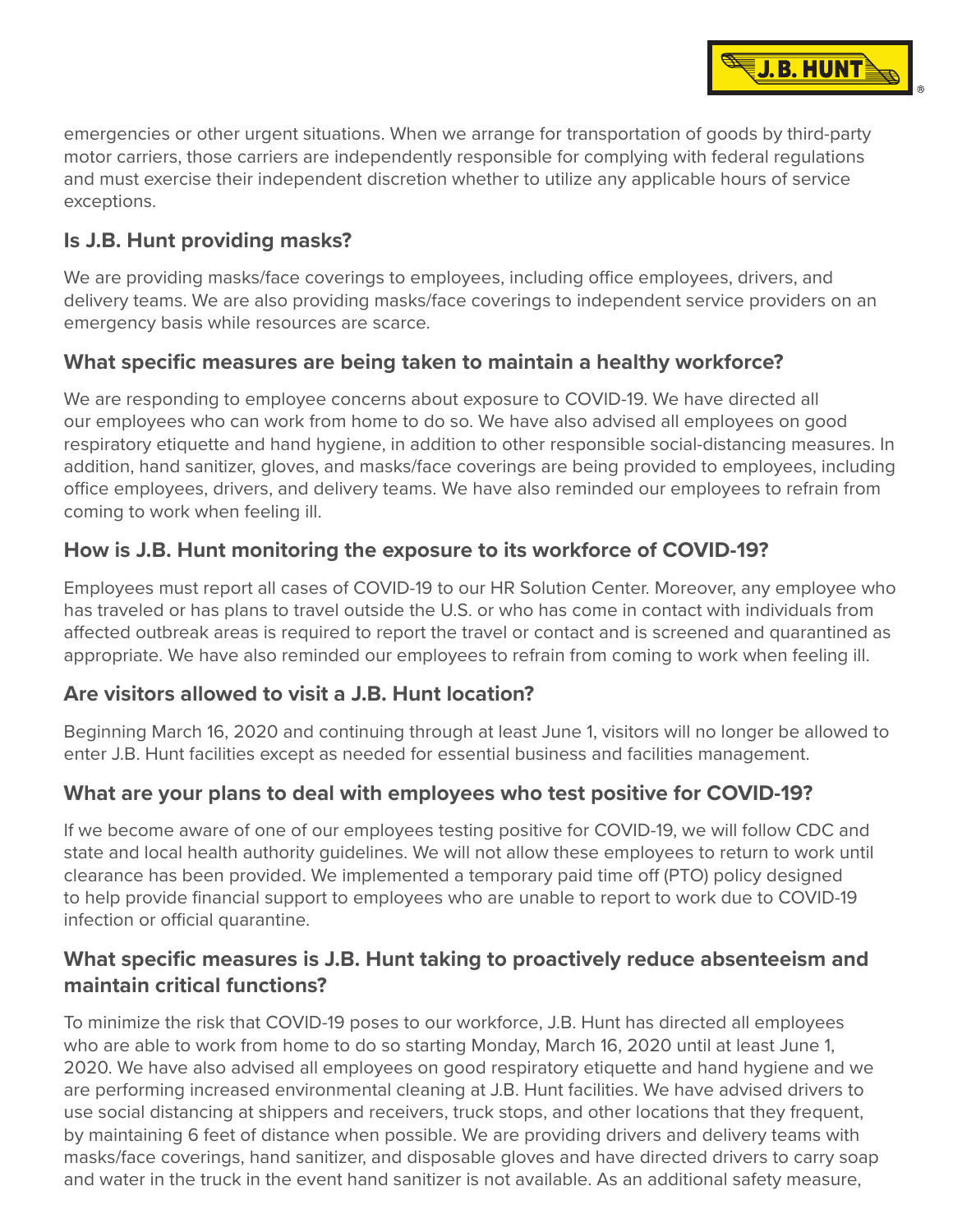emergencies or other urgent situations. When we arrange for transportation of goods by third-party motor carriers, those carriers are independently responsible for complying with federal regulations and must exercise their independent discretion whether to utilize any applicable hours of service exceptions.

**J. B. HUNT** 

#### **Is J.B. Hunt providing masks?**

We are providing masks/face coverings to employees, including office employees, drivers, and delivery teams. We are also providing masks/face coverings to independent service providers on an emergency basis while resources are scarce.

## **What specific measures are being taken to maintain a healthy workforce?**

We are responding to employee concerns about exposure to COVID-19. We have directed all our employees who can work from home to do so. We have also advised all employees on good respiratory etiquette and hand hygiene, in addition to other responsible social-distancing measures. In addition, hand sanitizer, gloves, and masks/face coverings are being provided to employees, including office employees, drivers, and delivery teams. We have also reminded our employees to refrain from coming to work when feeling ill.

# **How is J.B. Hunt monitoring the exposure to its workforce of COVID-19?**

Employees must report all cases of COVID-19 to our HR Solution Center. Moreover, any employee who has traveled or has plans to travel outside the U.S. or who has come in contact with individuals from affected outbreak areas is required to report the travel or contact and is screened and quarantined as appropriate. We have also reminded our employees to refrain from coming to work when feeling ill.

#### **Are visitors allowed to visit a J.B. Hunt location?**

Beginning March 16, 2020 and continuing through at least June 1, visitors will no longer be allowed to enter J.B. Hunt facilities except as needed for essential business and facilities management.

# **What are your plans to deal with employees who test positive for COVID-19?**

If we become aware of one of our employees testing positive for COVID-19, we will follow CDC and state and local health authority guidelines. We will not allow these employees to return to work until clearance has been provided. We implemented a temporary paid time off (PTO) policy designed to help provide financial support to employees who are unable to report to work due to COVID-19 infection or official quarantine.

## **What specific measures is J.B. Hunt taking to proactively reduce absenteeism and maintain critical functions?**

To minimize the risk that COVID-19 poses to our workforce, J.B. Hunt has directed all employees who are able to work from home to do so starting Monday, March 16, 2020 until at least June 1, 2020. We have also advised all employees on good respiratory etiquette and hand hygiene and we are performing increased environmental cleaning at J.B. Hunt facilities. We have advised drivers to use social distancing at shippers and receivers, truck stops, and other locations that they frequent, by maintaining 6 feet of distance when possible. We are providing drivers and delivery teams with masks/face coverings, hand sanitizer, and disposable gloves and have directed drivers to carry soap and water in the truck in the event hand sanitizer is not available. As an additional safety measure,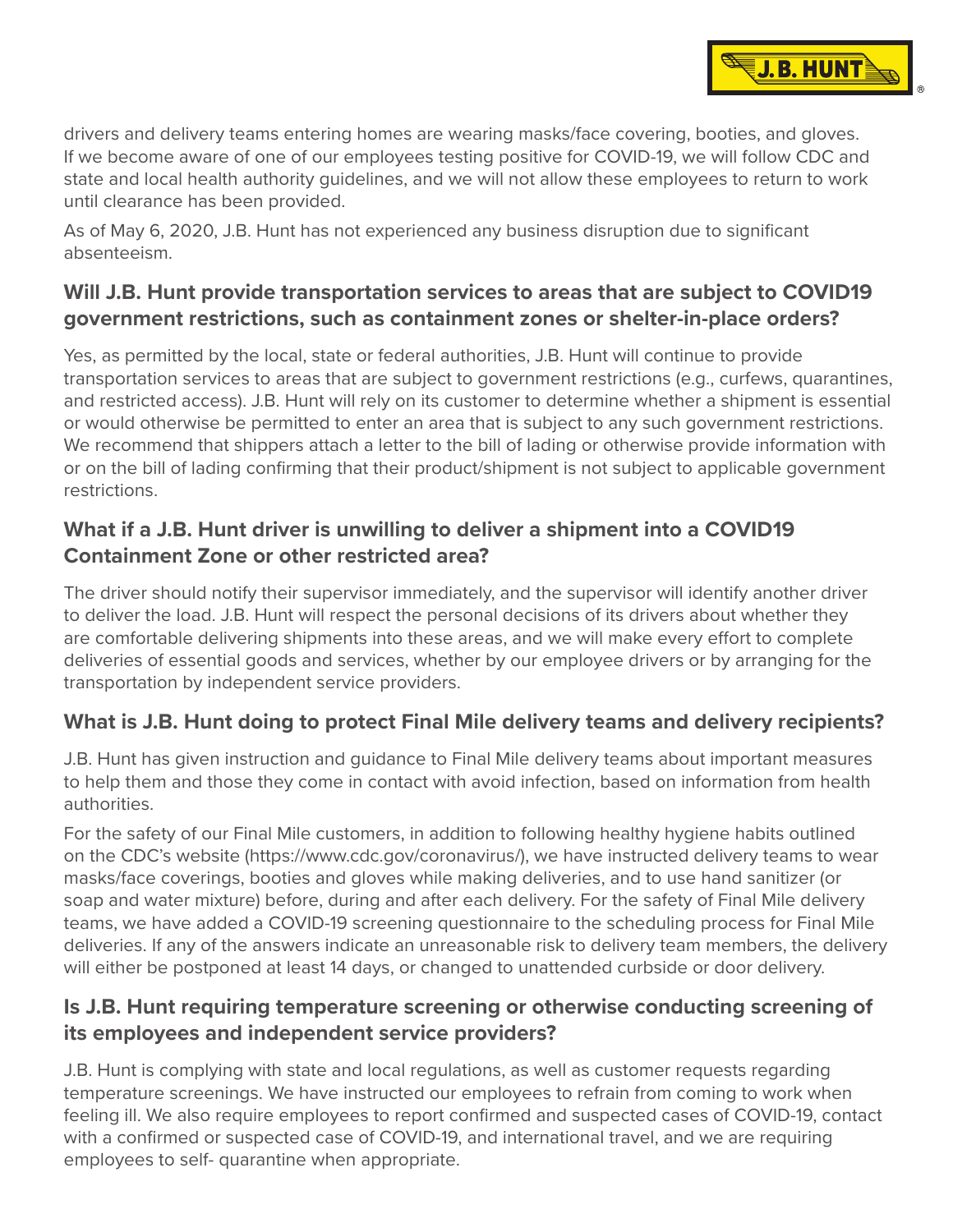drivers and delivery teams entering homes are wearing masks/face covering, booties, and gloves. If we become aware of one of our employees testing positive for COVID-19, we will follow CDC and state and local health authority guidelines, and we will not allow these employees to return to work until clearance has been provided.

**J.B. HUNT** 

As of May 6, 2020, J.B. Hunt has not experienced any business disruption due to significant absenteeism.

## **Will J.B. Hunt provide transportation services to areas that are subject to COVID19 government restrictions, such as containment zones or shelter-in-place orders?**

Yes, as permitted by the local, state or federal authorities, J.B. Hunt will continue to provide transportation services to areas that are subject to government restrictions (e.g., curfews, quarantines, and restricted access). J.B. Hunt will rely on its customer to determine whether a shipment is essential or would otherwise be permitted to enter an area that is subject to any such government restrictions. We recommend that shippers attach a letter to the bill of lading or otherwise provide information with or on the bill of lading confirming that their product/shipment is not subject to applicable government restrictions.

# **What if a J.B. Hunt driver is unwilling to deliver a shipment into a COVID19 Containment Zone or other restricted area?**

The driver should notify their supervisor immediately, and the supervisor will identify another driver to deliver the load. J.B. Hunt will respect the personal decisions of its drivers about whether they are comfortable delivering shipments into these areas, and we will make every effort to complete deliveries of essential goods and services, whether by our employee drivers or by arranging for the transportation by independent service providers.

# **What is J.B. Hunt doing to protect Final Mile delivery teams and delivery recipients?**

J.B. Hunt has given instruction and guidance to Final Mile delivery teams about important measures to help them and those they come in contact with avoid infection, based on information from health authorities.

For the safety of our Final Mile customers, in addition to following healthy hygiene habits outlined on the CDC's website [\(https://www.cdc.gov/coronavirus/](https://www.cdc.gov/coronavirus/)), we have instructed delivery teams to wear masks/face coverings, booties and gloves while making deliveries, and to use hand sanitizer (or soap and water mixture) before, during and after each delivery. For the safety of Final Mile delivery teams, we have added a COVID-19 screening questionnaire to the scheduling process for Final Mile deliveries. If any of the answers indicate an unreasonable risk to delivery team members, the delivery will either be postponed at least 14 days, or changed to unattended curbside or door delivery.

## **Is J.B. Hunt requiring temperature screening or otherwise conducting screening of its employees and independent service providers?**

J.B. Hunt is complying with state and local regulations, as well as customer requests regarding temperature screenings. We have instructed our employees to refrain from coming to work when feeling ill. We also require employees to report confirmed and suspected cases of COVID-19, contact with a confirmed or suspected case of COVID-19, and international travel, and we are requiring employees to self- quarantine when appropriate.